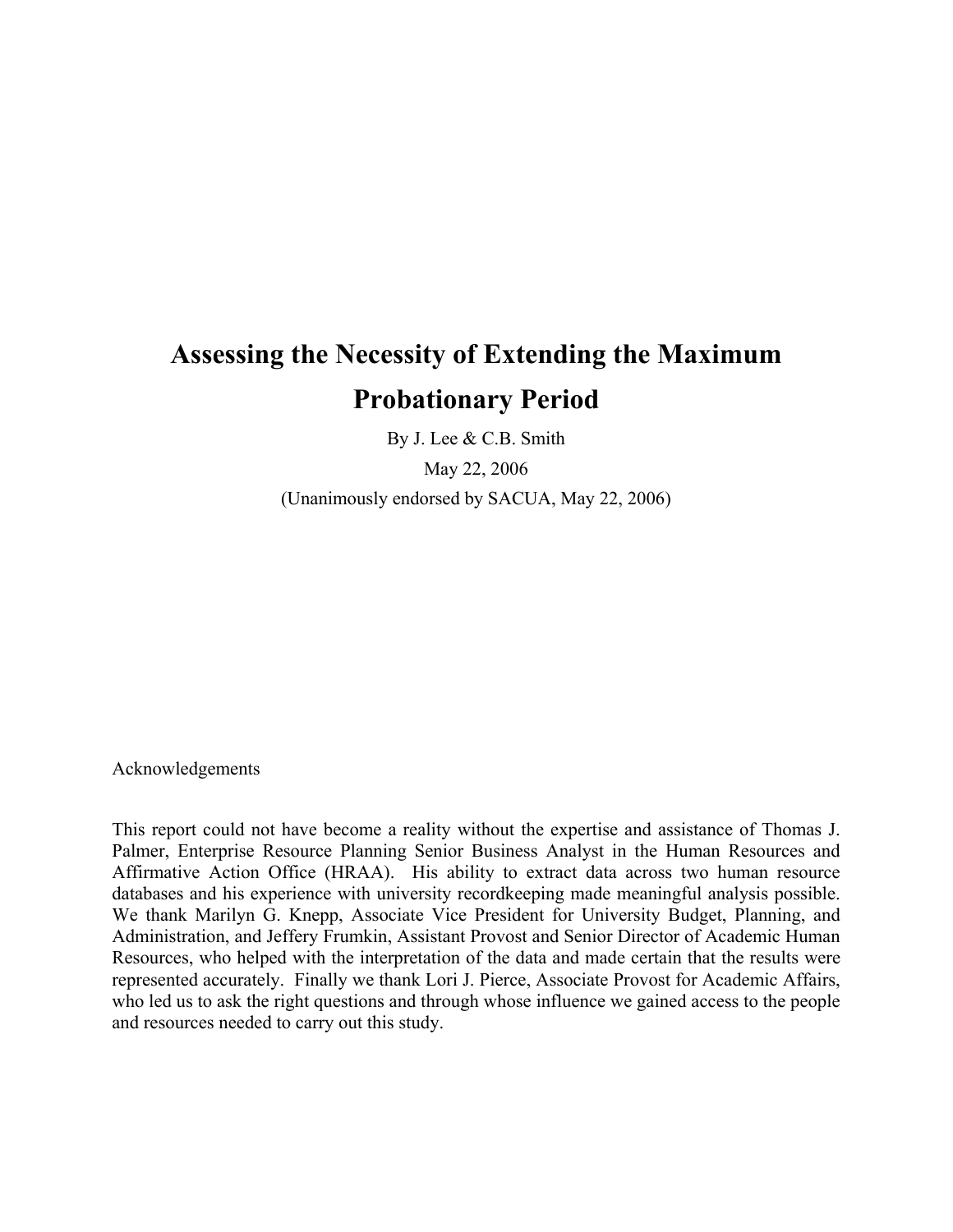# **Assessing the Necessity of Extending the Maximum Probationary Period**

By J. Lee & C.B. Smith

May 22, 2006

(Unanimously endorsed by SACUA, May 22, 2006)

Acknowledgements

This report could not have become a reality without the expertise and assistance of Thomas J. Palmer, Enterprise Resource Planning Senior Business Analyst in the Human Resources and Affirmative Action Office (HRAA). His ability to extract data across two human resource databases and his experience with university recordkeeping made meaningful analysis possible. We thank Marilyn G. Knepp, Associate Vice President for University Budget, Planning, and Administration, and Jeffery Frumkin, Assistant Provost and Senior Director of Academic Human Resources, who helped with the interpretation of the data and made certain that the results were represented accurately. Finally we thank Lori J. Pierce, Associate Provost for Academic Affairs, who led us to ask the right questions and through whose influence we gained access to the people and resources needed to carry out this study.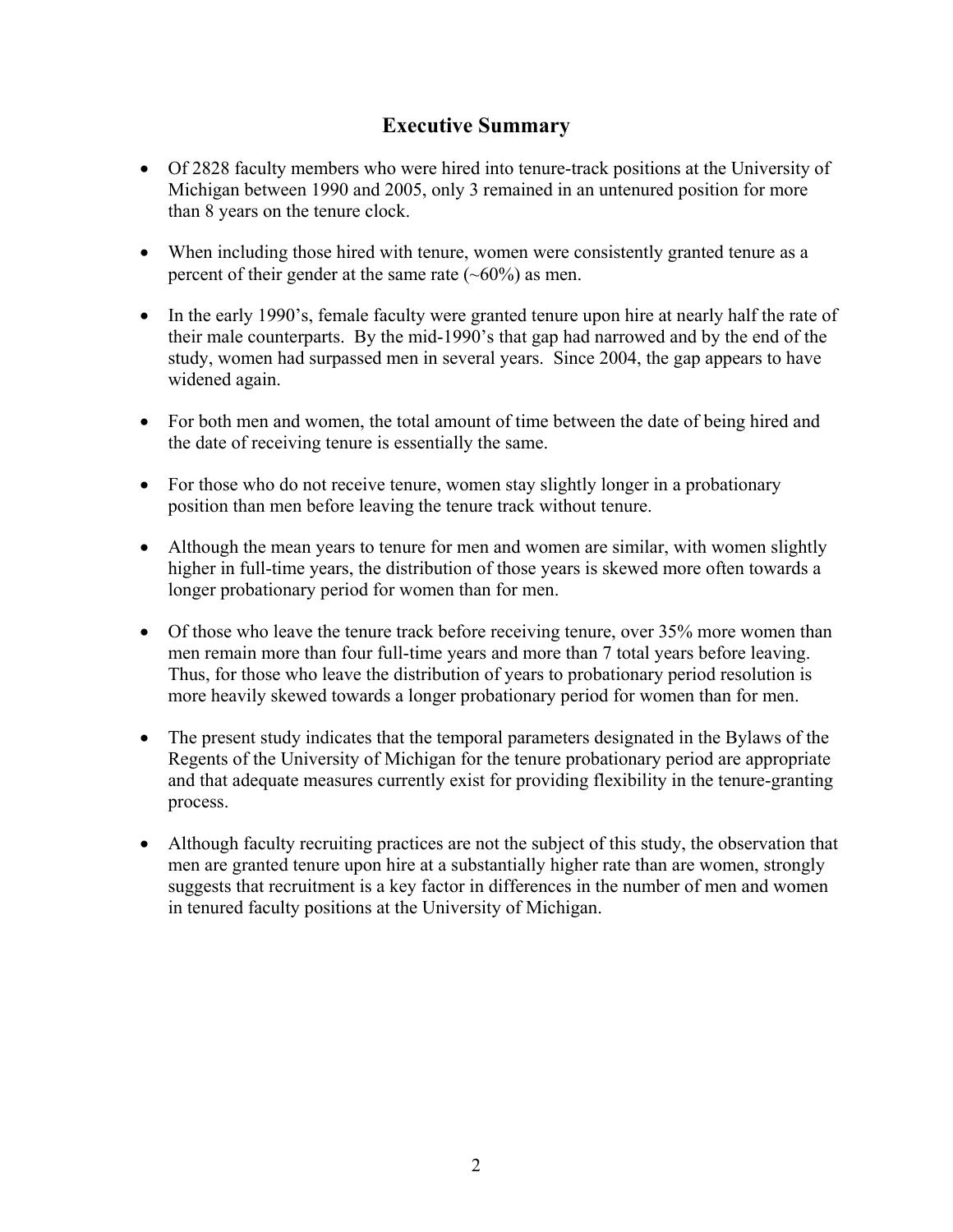# **Executive Summary**

- Of 2828 faculty members who were hired into tenure-track positions at the University of Michigan between 1990 and 2005, only 3 remained in an untenured position for more than 8 years on the tenure clock.
- When including those hired with tenure, women were consistently granted tenure as a percent of their gender at the same rate  $(-60\%)$  as men.
- In the early 1990's, female faculty were granted tenure upon hire at nearly half the rate of their male counterparts. By the mid-1990's that gap had narrowed and by the end of the study, women had surpassed men in several years. Since 2004, the gap appears to have widened again.
- For both men and women, the total amount of time between the date of being hired and the date of receiving tenure is essentially the same.
- For those who do not receive tenure, women stay slightly longer in a probationary position than men before leaving the tenure track without tenure.
- Although the mean years to tenure for men and women are similar, with women slightly higher in full-time years, the distribution of those years is skewed more often towards a longer probationary period for women than for men.
- Of those who leave the tenure track before receiving tenure, over 35% more women than men remain more than four full-time years and more than 7 total years before leaving. Thus, for those who leave the distribution of years to probationary period resolution is more heavily skewed towards a longer probationary period for women than for men.
- The present study indicates that the temporal parameters designated in the Bylaws of the Regents of the University of Michigan for the tenure probationary period are appropriate and that adequate measures currently exist for providing flexibility in the tenure-granting process.
- Although faculty recruiting practices are not the subject of this study, the observation that men are granted tenure upon hire at a substantially higher rate than are women, strongly suggests that recruitment is a key factor in differences in the number of men and women in tenured faculty positions at the University of Michigan.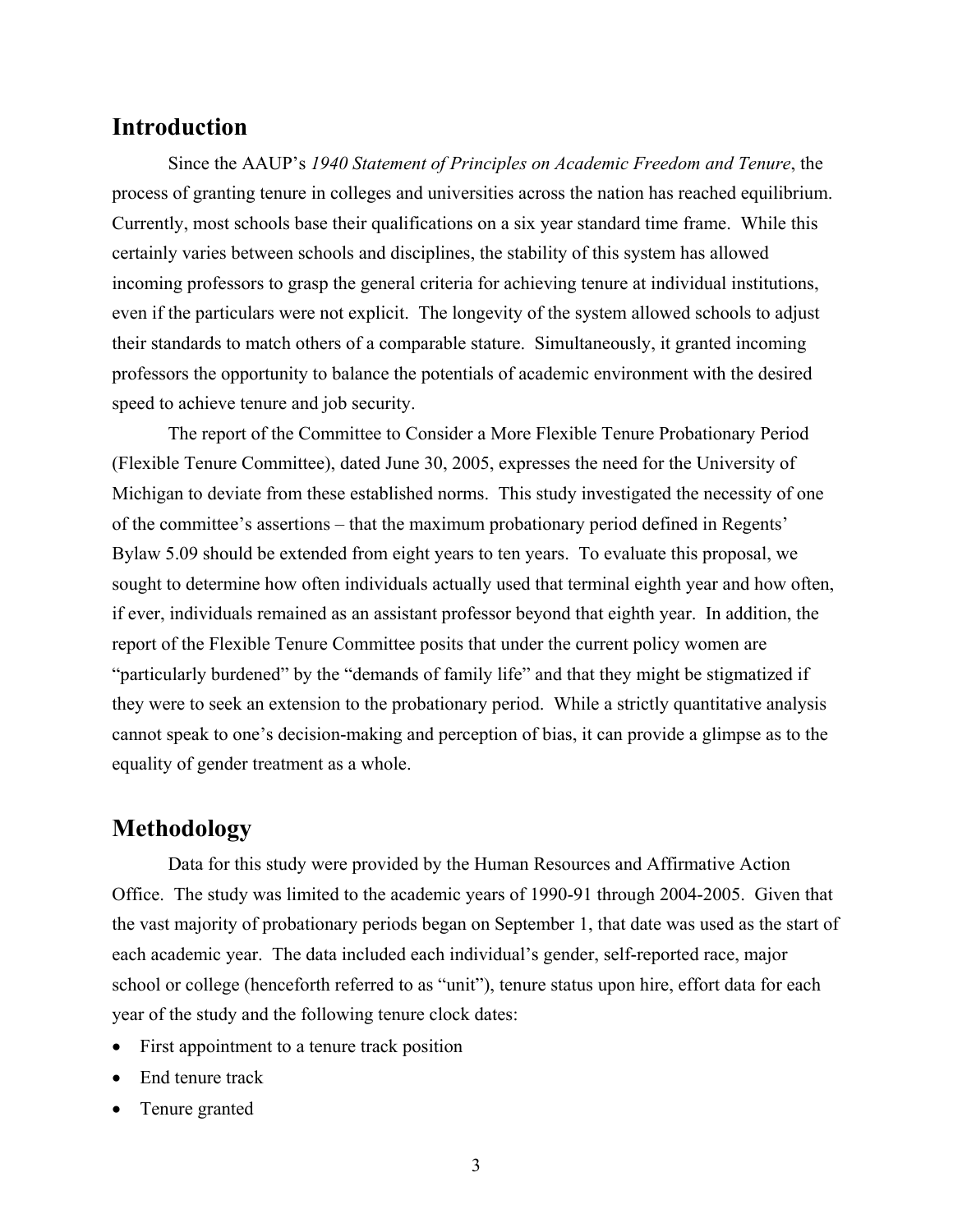# **Introduction**

Since the AAUP's *1940 Statement of Principles on Academic Freedom and Tenure*, the process of granting tenure in colleges and universities across the nation has reached equilibrium. Currently, most schools base their qualifications on a six year standard time frame. While this certainly varies between schools and disciplines, the stability of this system has allowed incoming professors to grasp the general criteria for achieving tenure at individual institutions, even if the particulars were not explicit. The longevity of the system allowed schools to adjust their standards to match others of a comparable stature. Simultaneously, it granted incoming professors the opportunity to balance the potentials of academic environment with the desired speed to achieve tenure and job security.

The report of the Committee to Consider a More Flexible Tenure Probationary Period (Flexible Tenure Committee), dated June 30, 2005, expresses the need for the University of Michigan to deviate from these established norms. This study investigated the necessity of one of the committee's assertions – that the maximum probationary period defined in [Regents'](http://www.umich.edu/%7Eregents/bylaws/bylaws05a.html)  [Bylaw](http://www.umich.edu/%7Eregents/bylaws/bylaws05a.html) 5.09 should be extended from eight years to ten years. To evaluate this proposal, we sought to determine how often individuals actually used that terminal eighth year and how often, if ever, individuals remained as an assistant professor beyond that eighth year. In addition, the report of the Flexible Tenure Committee posits that under the current policy women are "particularly burdened" by the "demands of family life" and that they might be stigmatized if they were to seek an extension to the probationary period. While a strictly quantitative analysis cannot speak to one's decision-making and perception of bias, it can provide a glimpse as to the equality of gender treatment as a whole.

## **Methodology**

Data for this study were provided by the Human Resources and Affirmative Action Office. The study was limited to the academic years of 1990-91 through 2004-2005. Given that the vast majority of probationary periods began on September 1, that date was used as the start of each academic year. The data included each individual's gender, self-reported race, major school or college (henceforth referred to as "unit"), tenure status upon hire, effort data for each year of the study and the following tenure clock dates:

- First appointment to a tenure track position
- End tenure track
- Tenure granted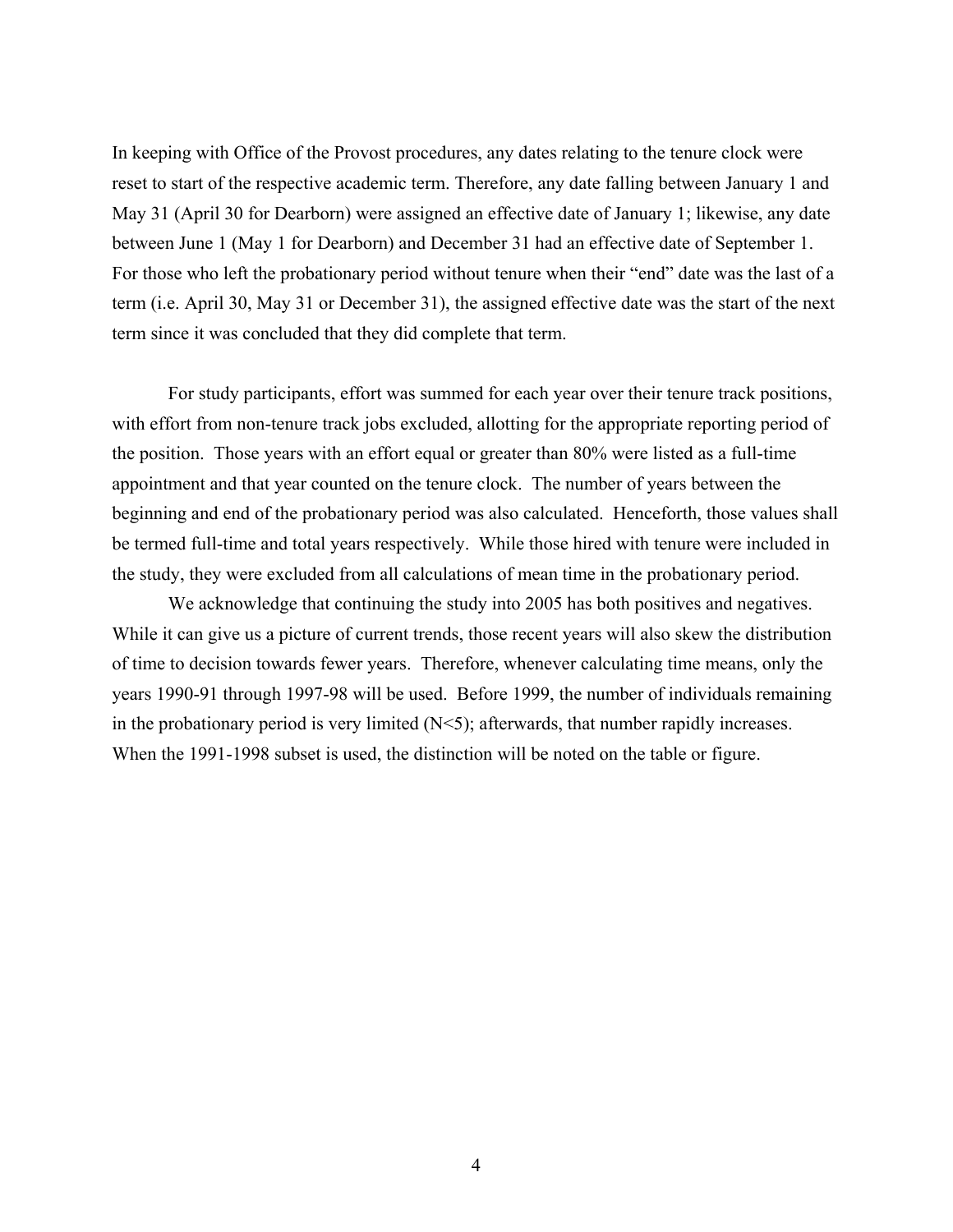In keeping with Office of the Provost procedures, any dates relating to the tenure clock were reset to start of the respective academic term. Therefore, any date falling between January 1 and May 31 (April 30 for Dearborn) were assigned an effective date of January 1; likewise, any date between June 1 (May 1 for Dearborn) and December 31 had an effective date of September 1. For those who left the probationary period without tenure when their "end" date was the last of a term (i.e. April 30, May 31 or December 31), the assigned effective date was the start of the next term since it was concluded that they did complete that term.

For study participants, effort was summed for each year over their tenure track positions, with effort from non-tenure track jobs excluded, allotting for the appropriate reporting period of the position. Those years with an effort equal or greater than 80% were listed as a full-time appointment and that year counted on the tenure clock. The number of years between the beginning and end of the probationary period was also calculated. Henceforth, those values shall be termed full-time and total years respectively. While those hired with tenure were included in the study, they were excluded from all calculations of mean time in the probationary period.

We acknowledge that continuing the study into 2005 has both positives and negatives. While it can give us a picture of current trends, those recent years will also skew the distribution of time to decision towards fewer years. Therefore, whenever calculating time means, only the years 1990-91 through 1997-98 will be used. Before 1999, the number of individuals remaining in the probationary period is very limited  $(N<5)$ ; afterwards, that number rapidly increases. When the 1991-1998 subset is used, the distinction will be noted on the table or figure.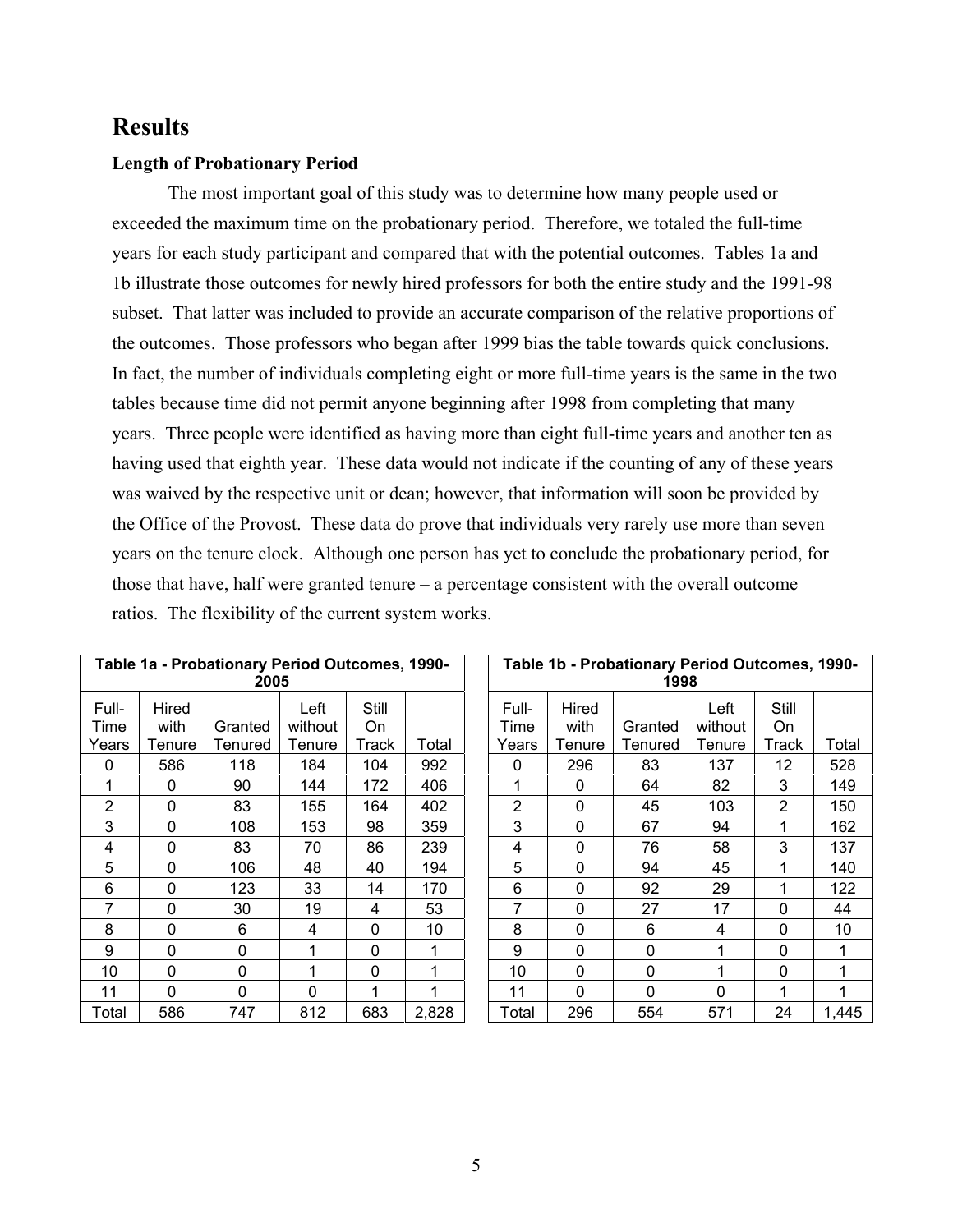# **Results**

### **Length of Probationary Period**

The most important goal of this study was to determine how many people used or exceeded the maximum time on the probationary period. Therefore, we totaled the full-time years for each study participant and compared that with the potential outcomes. Tables 1a and 1b illustrate those outcomes for newly hired professors for both the entire study and the 1991-98 subset. That latter was included to provide an accurate comparison of the relative proportions of the outcomes. Those professors who began after 1999 bias the table towards quick conclusions. In fact, the number of individuals completing eight or more full-time years is the same in the two tables because time did not permit anyone beginning after 1998 from completing that many years. Three people were identified as having more than eight full-time years and another ten as having used that eighth year. These data would not indicate if the counting of any of these years was waived by the respective unit or dean; however, that information will soon be provided by the Office of the Provost. These data do prove that individuals very rarely use more than seven years on the tenure clock. Although one person has yet to conclude the probationary period, for those that have, half were granted tenure – a percentage consistent with the overall outcome ratios. The flexibility of the current system works.

|                | Table 1a - Probationary Period Outcomes, 1990-<br>2005 |          |                 |             |       |  | Table 1b - Probationary Period Outcomes, 1990-<br>1998 |               |          |                 |                |       |
|----------------|--------------------------------------------------------|----------|-----------------|-------------|-------|--|--------------------------------------------------------|---------------|----------|-----------------|----------------|-------|
| Full-<br>Time  | Hired<br>with                                          | Granted  | Left<br>without | Still<br>On |       |  | Full-<br>Time                                          | Hired<br>with | Granted  | Left<br>without | Still<br>On    |       |
| Years          | Tenure                                                 | Tenured  | Tenure          | Track       | Total |  | Years                                                  | Tenure        | Tenured  | Tenure          | Track          | Total |
| 0              | 586                                                    | 118      | 184             | 104         | 992   |  | 0                                                      | 296           | 83       | 137             | 12             | 528   |
| 1              | $\Omega$                                               | 90       | 144             | 172         | 406   |  | 1                                                      | $\Omega$      | 64       | 82              | 3              | 149   |
| $\overline{2}$ | 0                                                      | 83       | 155             | 164         | 402   |  | 2                                                      | $\mathbf{0}$  | 45       | 103             | $\overline{2}$ | 150   |
| 3              | 0                                                      | 108      | 153             | 98          | 359   |  | 3                                                      | $\mathbf 0$   | 67       | 94              | 1              | 162   |
| 4              | 0                                                      | 83       | 70              | 86          | 239   |  | 4                                                      | $\mathbf 0$   | 76       | 58              | 3              | 137   |
| 5              | 0                                                      | 106      | 48              | 40          | 194   |  | 5                                                      | 0             | 94       | 45              | 1              | 140   |
| 6              | $\mathbf 0$                                            | 123      | 33              | 14          | 170   |  | 6                                                      | $\mathbf{0}$  | 92       | 29              |                | 122   |
| 7              | $\mathbf 0$                                            | 30       | 19              | 4           | 53    |  | 7                                                      | $\Omega$      | 27       | 17              | 0              | 44    |
| 8              | 0                                                      | 6        | 4               | 0           | 10    |  | 8                                                      | $\mathbf 0$   | 6        | 4               | 0              | 10    |
| 9              | $\Omega$                                               | $\Omega$ | 1               | 0           | 1     |  | 9                                                      | $\Omega$      | 0        | 1               | $\Omega$       |       |
| 10             | $\Omega$                                               | $\Omega$ |                 | 0           | 1     |  | 10                                                     | $\Omega$      | 0        |                 | $\Omega$       |       |
| 11             | $\Omega$                                               | $\Omega$ | 0               |             | 1     |  | 11                                                     | $\Omega$      | $\Omega$ | 0               | 1              |       |
| Total          | 586                                                    | 747      | 812             | 683         | 2,828 |  | Total                                                  | 296           | 554      | 571             | 24             | 1,445 |

|                |               | able 1a - Probationary Period Outcomes, 1990-<br>2005 |                 |             |       | Table 1b - Probationary Period Outcomes, 1990-<br>1998 |                |               |          |                 |                    |       |  |
|----------------|---------------|-------------------------------------------------------|-----------------|-------------|-------|--------------------------------------------------------|----------------|---------------|----------|-----------------|--------------------|-------|--|
| ull-<br>me     | Hired<br>with | Granted                                               | Left<br>without | Still<br>On |       |                                                        | Full-<br>Time  | Hired<br>with | Granted  | Left<br>without | Still<br><b>On</b> |       |  |
| ars:           | Tenure        | Tenured                                               | Tenure          | Track       | Total |                                                        | Years          | Tenure        | Tenured  | Tenure          | Track              | Total |  |
| 0              | 586           | 118                                                   | 184             | 104         | 992   |                                                        | 0              | 296           | 83       | 137             | 12                 | 528   |  |
|                | $\mathbf 0$   | 90                                                    | 144             | 172         | 406   |                                                        |                | $\mathbf{0}$  | 64       | 82              | 3                  | 149   |  |
| $\overline{2}$ | $\mathbf{0}$  | 83                                                    | 155             | 164         | 402   |                                                        | $\overline{2}$ | $\mathbf{0}$  | 45       | 103             | 2                  | 150   |  |
| 3              | $\mathbf{0}$  | 108                                                   | 153             | 98          | 359   |                                                        | 3              | $\mathbf{0}$  | 67       | 94              |                    | 162   |  |
| 4              | $\mathbf{0}$  | 83                                                    | 70              | 86          | 239   |                                                        | 4              | $\mathbf{0}$  | 76       | 58              | 3                  | 137   |  |
| $\overline{5}$ | $\mathbf{0}$  | 106                                                   | 48              | 40          | 194   |                                                        | 5              | 0             | 94       | 45              |                    | 140   |  |
| 6              | $\mathbf{0}$  | 123                                                   | 33              | 14          | 170   |                                                        | 6              | $\mathbf 0$   | 92       | 29              |                    | 122   |  |
| $\overline{7}$ | $\mathbf{0}$  | 30                                                    | 19              | 4           | 53    |                                                        | 7              | $\mathbf 0$   | 27       | 17              | 0                  | 44    |  |
| 8              | $\mathbf 0$   | 6                                                     | 4               | 0           | 10    |                                                        | 8              | $\mathbf 0$   | 6        | 4               | 0                  | 10    |  |
| 9              | $\mathbf{0}$  | $\Omega$                                              |                 | 0           | 1     |                                                        | 9              | $\mathbf 0$   | $\Omega$ |                 | 0                  |       |  |
| 0              | $\Omega$      | $\Omega$                                              |                 | 0           | 1     |                                                        | 10             | $\mathbf{0}$  | $\Omega$ |                 | $\mathbf{0}$       |       |  |
| $\overline{1}$ | $\Omega$      | 0                                                     | 0               |             | 1     |                                                        | 11             | $\Omega$      | 0        | $\Omega$        |                    |       |  |
| วtal           | 586           | 747                                                   | 812             | 683         | 2,828 |                                                        | Total          | 296           | 554      | 571             | 24                 | 1,445 |  |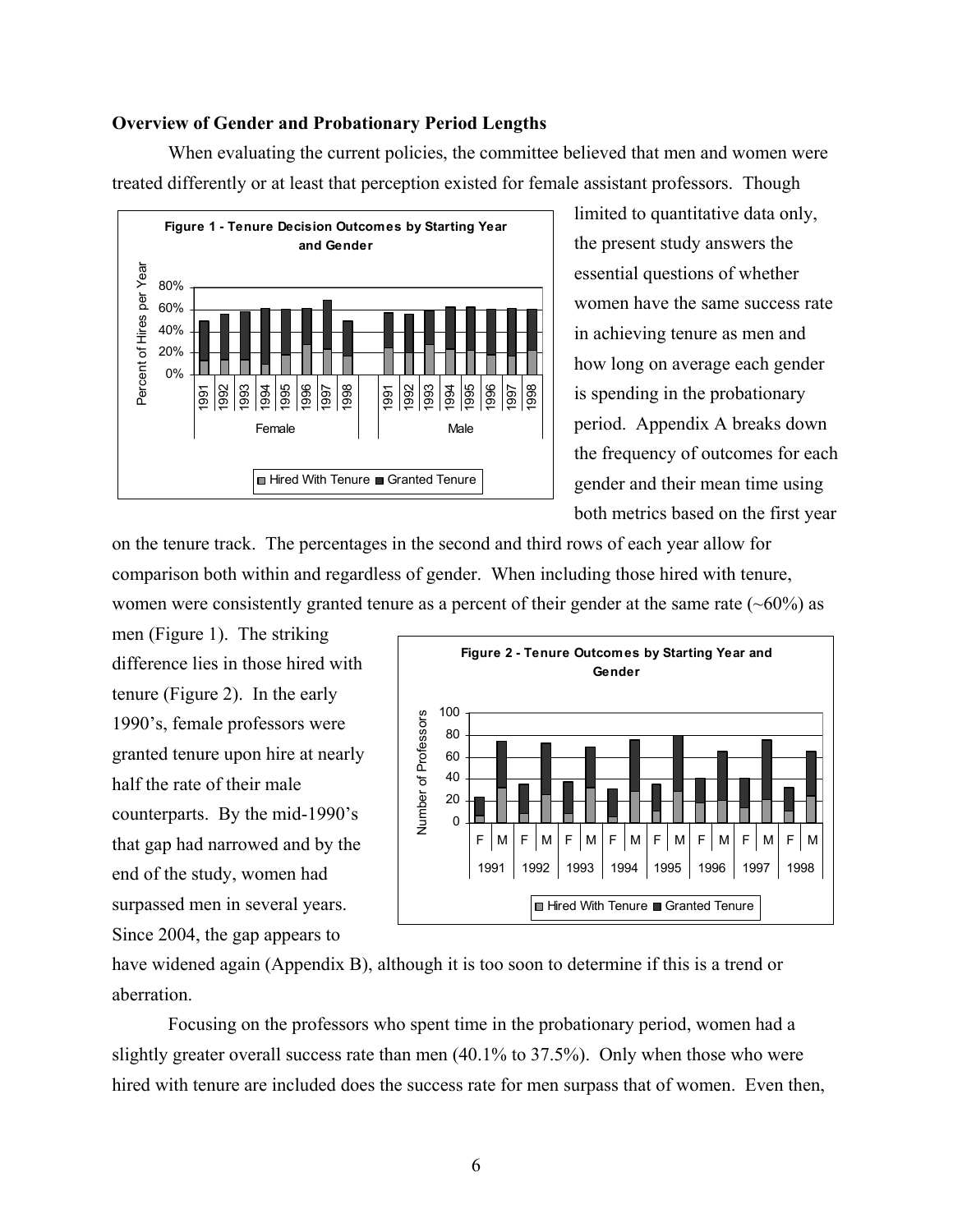#### **Overview of Gender and Probationary Period Lengths**

When evaluating the current policies, the committee believed that men and women were treated differently or at least that perception existed for female assistant professors. Though



limited to quantitative data only, the present study answers the essential questions of whether women have the same success rate in achieving tenure as men and how long on average each gender is spending in the probationary period. Appendix A breaks down the frequency of outcomes for e ach gender and their mean time using both metrics based on the first ye ar

on the tenure track. The percentages in the second and third rows of each year allow for comparison both within and regardless of gender. When including those hired with tenure, women were consistently granted tenure as a percent of their gender at the same rate  $(-60\%)$  as

men (Figure 1). The striking difference lies in those hired with tenure (Figure 2). In the early 1990's, female professors were granted tenure upon hire at nearly half the rate of their male counterparts. By the mid-1990's that gap had narrowed and by the end of the study, women had surpassed men in several years. Since 2004, the gap appears to



have widened again (Appendix B), although it is too soon to determine if this is a trend or aberration.

Focusing on the professors who spent time in the probationary period, women had a slightly greater overall success rate than men (40.1% to 37.5%). Only when those who were hired with tenure are included does the success rate for men surpass that of women. Even then,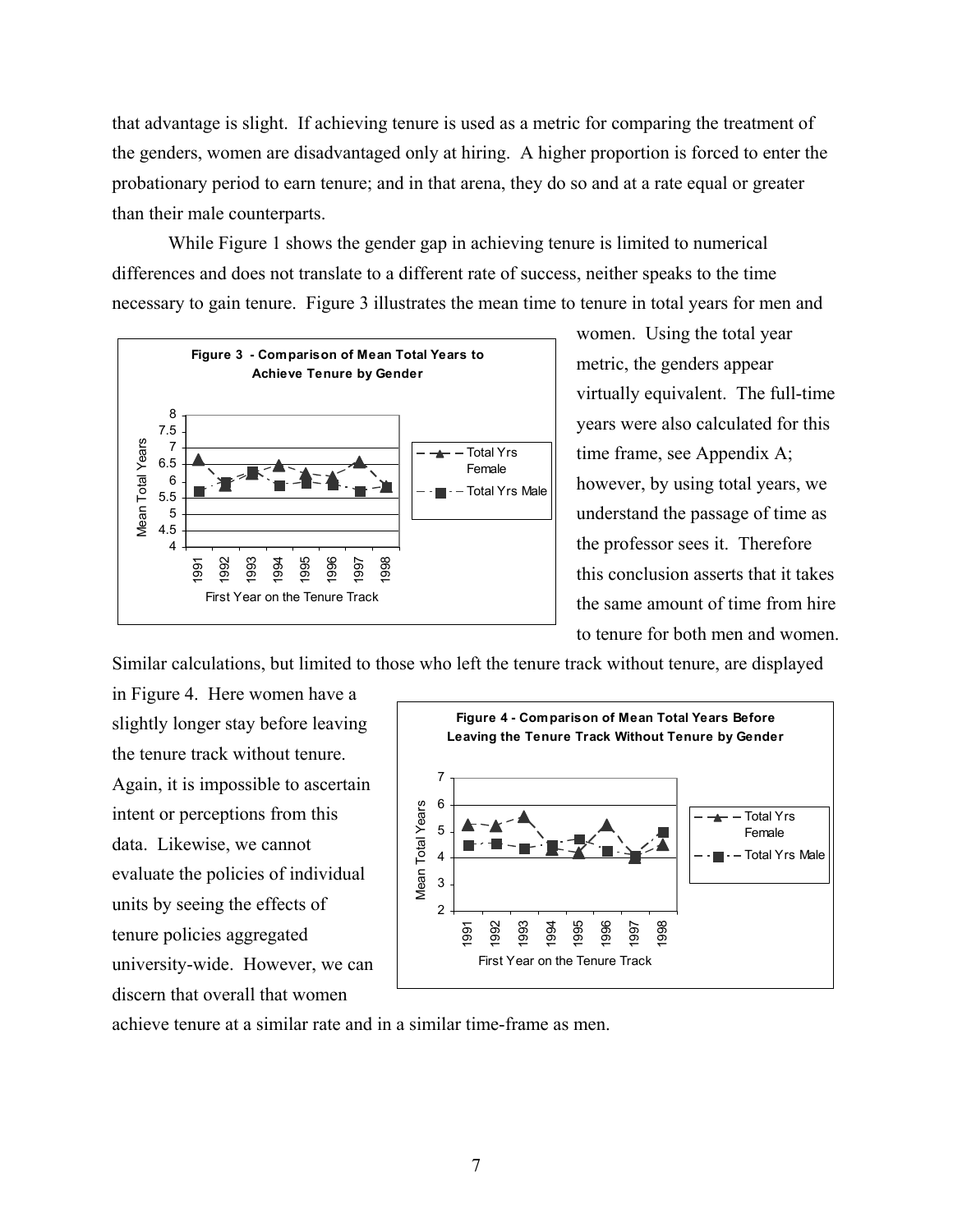that advantage is slight. If achieving tenure is used as a metric for comparing the treatment of the genders, women are disadvantaged only at hiring. A higher proportion is forced to enter the probationary period to earn tenure; and in that arena, they do so and at a rate equal or greater than their male counterparts.

While Figure 1 shows the gender gap in achieving tenure is limited to numerical differences and does not translate to a different rate of success, neither speaks to the time necessary to gain tenure. Figure 3 illustrates the mean time to tenure in total years for men and



women. Using the total year metric, the genders appear virtually equivalent. The full-time years were also calculated for this time frame, see Appendix A; however, by using total years, we understand the passage of time as the professor sees it. Therefore this conclusion asserts that it takes the same amount of time from hire to tenure for both men and w omen.

Similar calculations, but limited to those who left the tenure track without tenure, are displayed

in Figure 4. Here women hav e a slightly longer stay before leaving the tenure track without tenure. Again, it is impossible to asc ertain intent or perceptions from this data. Likewise, we cannot evaluate the policies of individual units by seeing the effects of tenure policies aggregated university-wide. However, we can discern that overall that women



achieve tenure at a similar rate and in a similar time-frame as men.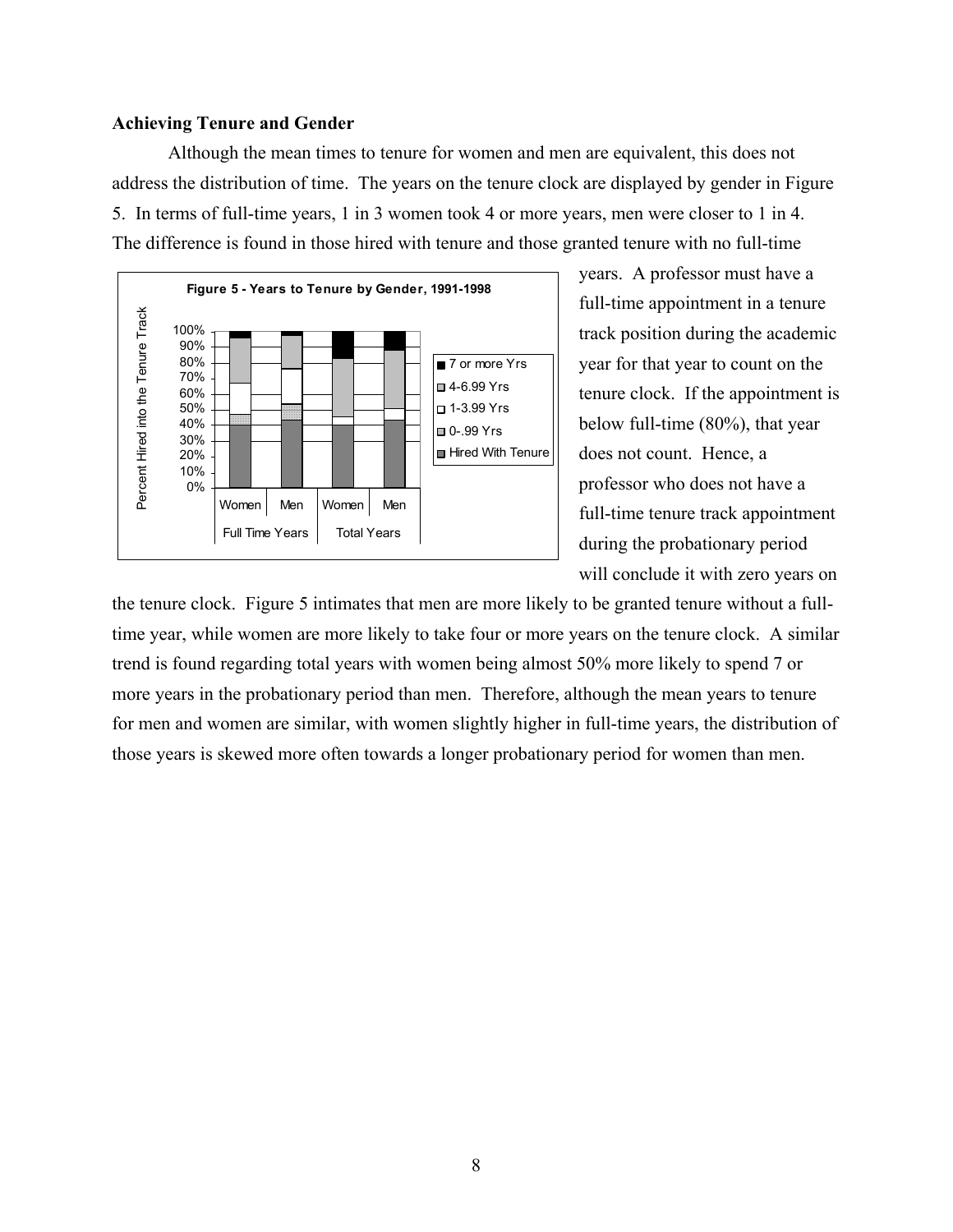#### **Achieving Tenure and Gender**

Although the mean times to tenure for women and men are equivalent, this does not address the distribution of time. The years on the tenure clock are displayed by gender in Figure 5. In terms of full-time years, 1 in 3 women took 4 or more years, men were closer to 1 in 4. The difference is found in those hired with tenure and those granted tenure with no full-time



years. A professor must have a full-time appointment in a tenure track position during the academic year for that year to count on the tenure clock. If the appointment is below full-time (80%), that year does not count. Hence, a professor who does not have a full-time tenure track appointment during the probationary period will conclude it with zero years on

the tenure clock. Figure 5 intimates that men are more likely to be granted tenure without a fulltime year, while women are more likely to take four or more years on the tenure clock. A similar trend is found regarding total years with women being almost 50% more likely to spend 7 or more years in the probationary period than men. Therefore, although the mean years to tenure for men and women are similar, with women slightly higher in full-time years, the distribution of those years is skewed more often towards a longer probationary period for women than men.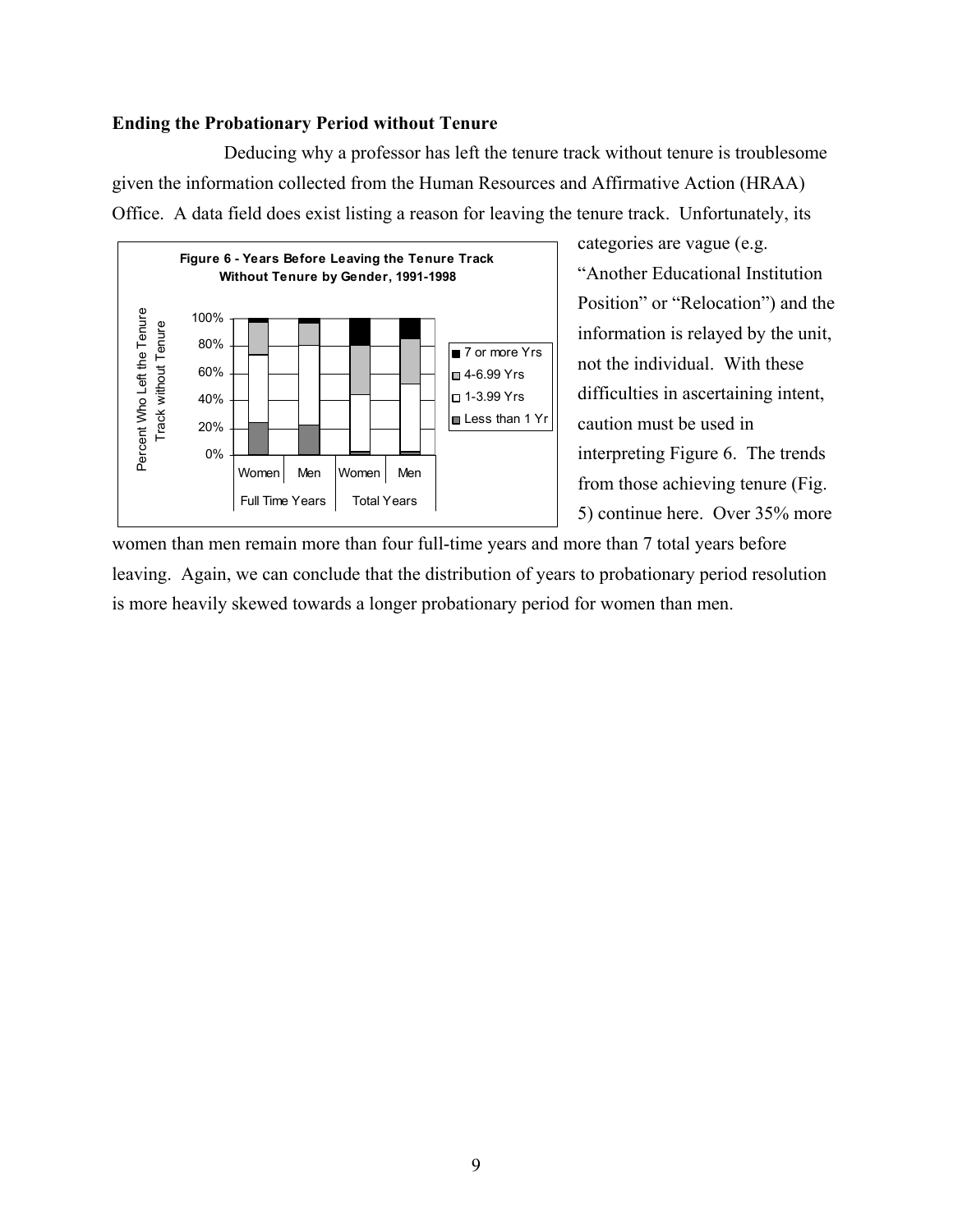### **Ending the Probationary Period without Tenure**

Deducing why a professor has left the tenure track without tenure is troublesome given the information collected from the Human Resources and Affirmative Action (HRAA) Office. A data field does exist listing a reason for leaving the tenure track. Unfortunately, its



categories are vague (e.g. "Another Educational Institution Position" or "Relocation") and the information is relayed by the unit, not the individual. With these difficulties in ascertaining intent, caution must be used in interpreting Figure 6. The trends from those achieving tenure (Fig. 5) continue here. Over 35% more

women than men remain more than four full-time years and more than 7 total years before leaving. Again, we can conclude that the distribution of years to probationary period resolution is more heavily skewed towards a longer probationary period for women than men.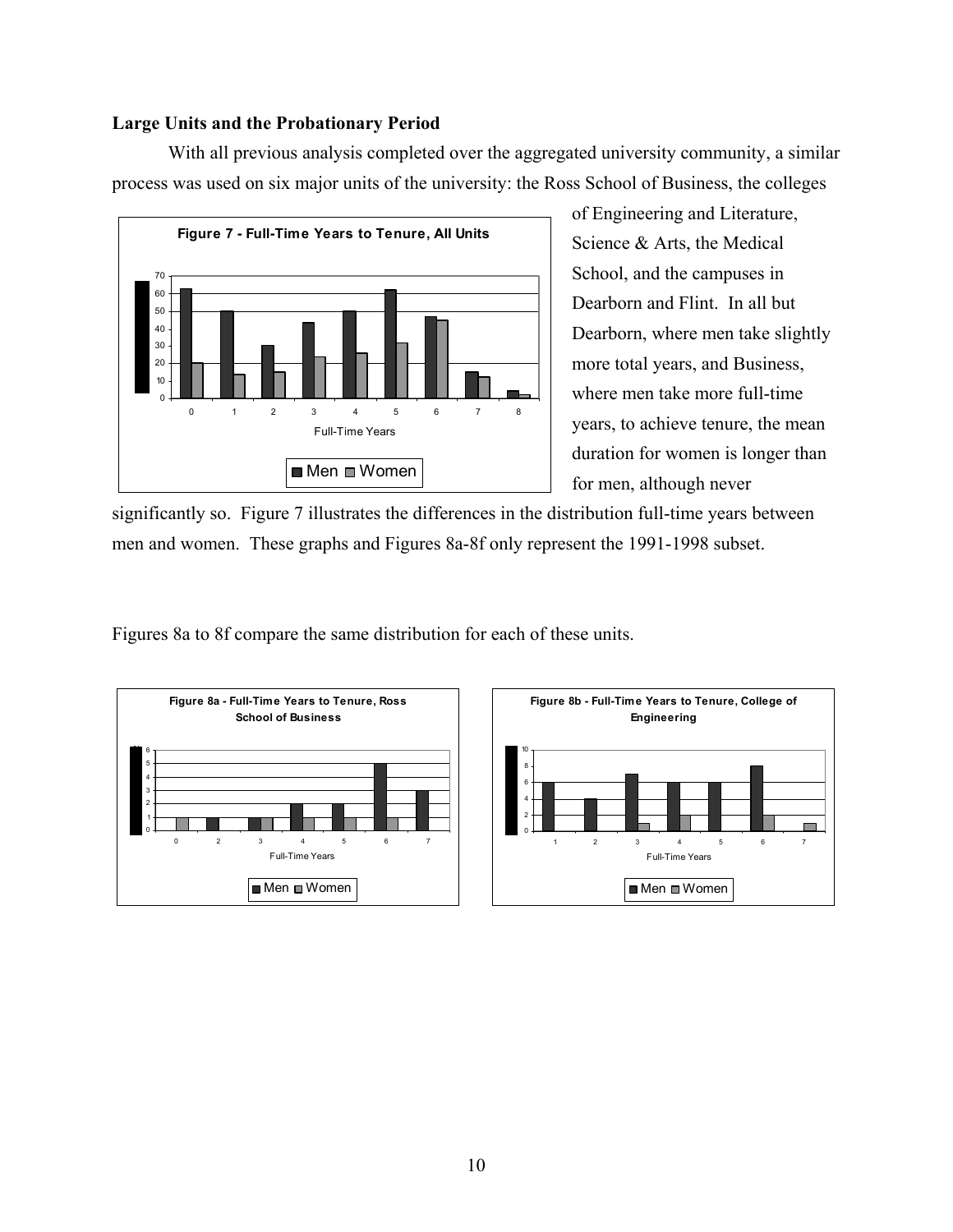### **Large Units and the Probationary Period**

With all previous analysis completed over the aggregated university community, a similar process was used on six major units of the university: the Ross School of Business, the colleges



of Engineering and Literature, Science & Arts, the Medical School, and the campuses in Dearborn and Flint. In all but Dearborn, where men take slightly more total years, and Business, where men take more full-time years, to achieve tenure, the mean duration for women is longer than for men, although never

significantly so. Figure 7 illustrates the differences in the distribution full-time years between men and women. These graphs and Figures 8a-8f only represent the 1991-1998 subset.

Figures 8a to 8f compare the same distribution for each of these units.



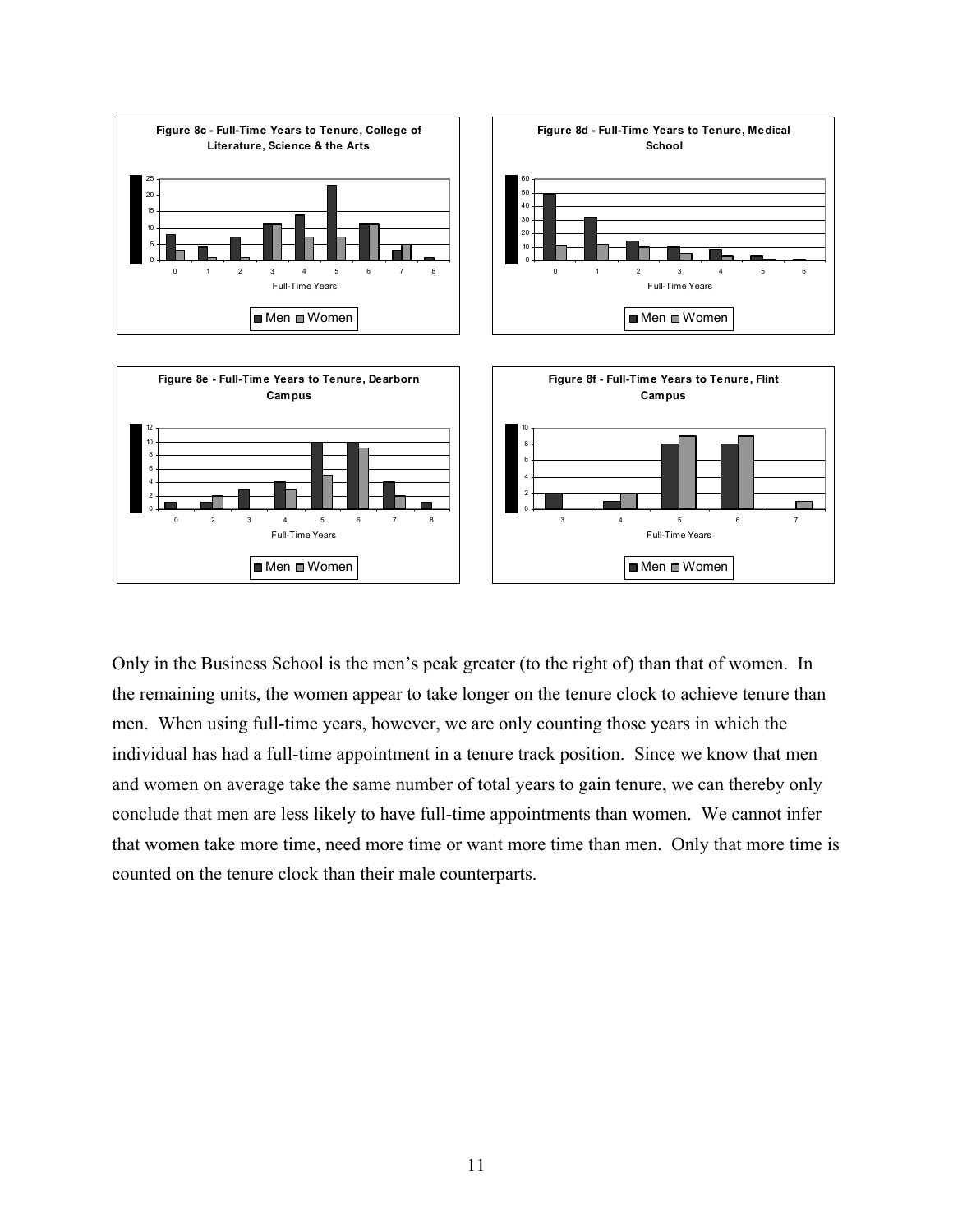

Only in the Business School is the men's peak greater (to the right of) than that of women. In the remaining units, the women appear to take longer on the tenure clock to achieve tenure than men. When using full-time years, however, we are only counting those years in which the individual has had a full-time appointment in a tenure track position. Since we know that men and women on average take the same number of total years to gain tenure, we can thereby only conclude that men are less likely to have full-time appointments than women. We cannot infer that women take more time, need more time or want more time than men. Only that more time is counted on the tenure clock than their male counterparts.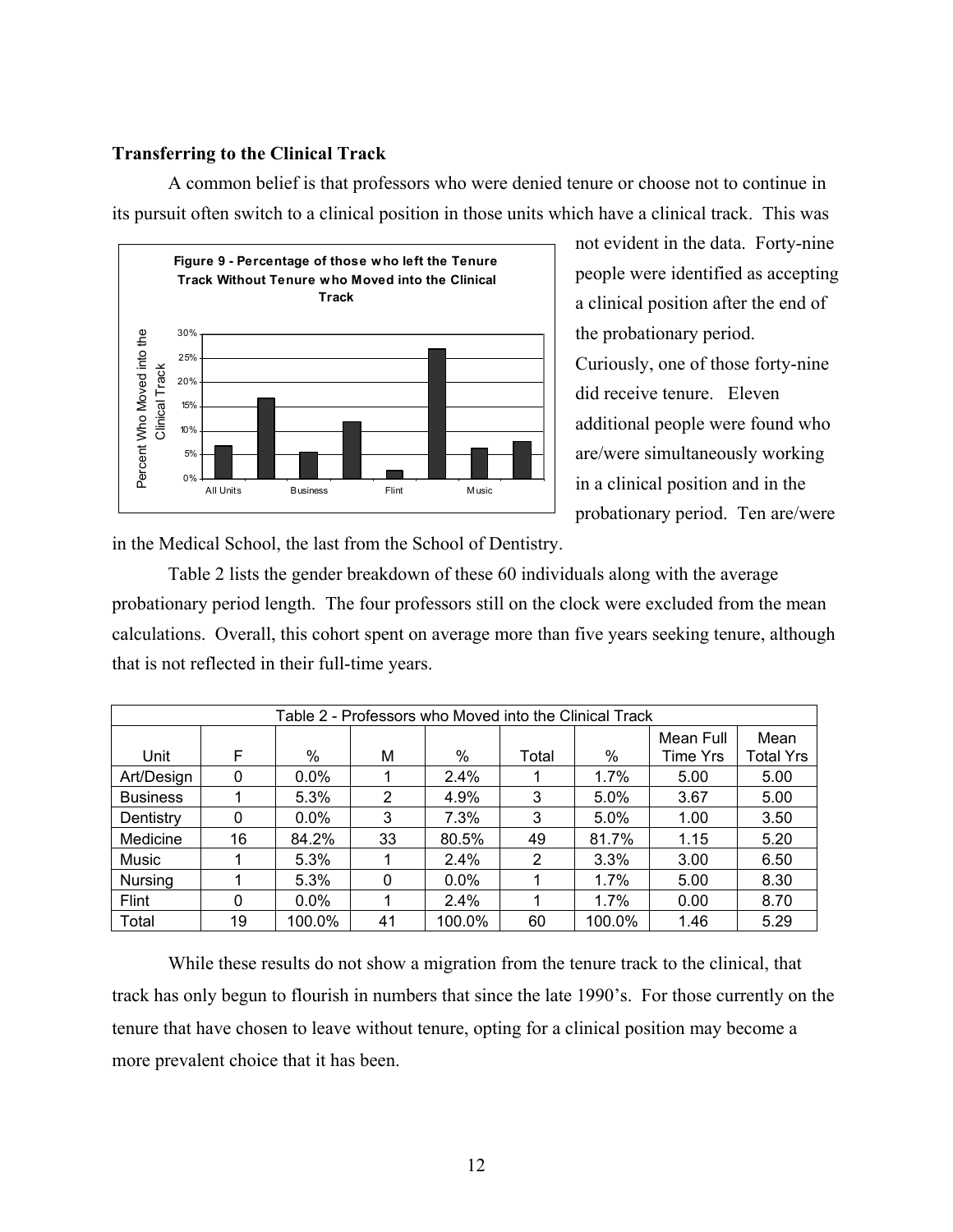### **Transferring to the Clinical Track**

A common belief is that professors who were denied tenure or choose not to continue in its pursuit often switch to a clinical position in those units which have a clinical track. This was



not evident in the data. Forty-nine people were identified as a ccepting a clinical position after the end of the probationary period. Curiously, one of those forty-nine did receive tenure. Eleven additional people were found who are/were simultaneously working in a clinical position and in the probationary period. Ten are/were

in the Medical School, the last from the School of Dentistry.

Table 2 lists the gender breakdown of these 60 individuals along with the average probationary period length. The four professors still on the clock were excluded from the mean calculations. Overall, this cohort spent on average more than five years seeking tenure, although that is not reflected in their full-time years.

| Table 2 - Professors who Moved into the Clinical Track |    |         |    |         |       |         |                       |                          |  |  |  |
|--------------------------------------------------------|----|---------|----|---------|-------|---------|-----------------------|--------------------------|--|--|--|
| Unit                                                   | F  | $\%$    | М  | %       | Total | %       | Mean Full<br>Time Yrs | Mean<br><b>Total Yrs</b> |  |  |  |
| Art/Design                                             | 0  | $0.0\%$ |    | 2.4%    |       | $1.7\%$ | 5.00                  | 5.00                     |  |  |  |
| <b>Business</b>                                        |    | 5.3%    | 2  | 4.9%    | 3     | 5.0%    | 3.67                  | 5.00                     |  |  |  |
| Dentistry                                              | 0  | $0.0\%$ | 3  | 7.3%    | 3     | 5.0%    | 1.00                  | 3.50                     |  |  |  |
| Medicine                                               | 16 | 84.2%   | 33 | 80.5%   | 49    | 81.7%   | 1.15                  | 5.20                     |  |  |  |
| Music                                                  |    | 5.3%    |    | 2.4%    | 2     | 3.3%    | 3.00                  | 6.50                     |  |  |  |
| Nursing                                                |    | 5.3%    | 0  | $0.0\%$ |       | $1.7\%$ | 5.00                  | 8.30                     |  |  |  |
| Flint                                                  | 0  | $0.0\%$ |    | 2.4%    |       | $1.7\%$ | 0.00                  | 8.70                     |  |  |  |
| Total                                                  | 19 | 100.0%  | 41 | 100.0%  | 60    | 100.0%  | 1.46                  | 5.29                     |  |  |  |

While these results do not show a migration from the tenure track to the clinical, that track has only begun to flourish in numbers that since the late 1990's. For those currently on the tenure that have chosen to leave without tenure, opting for a clinical position may become a more prevalent choice that it has been.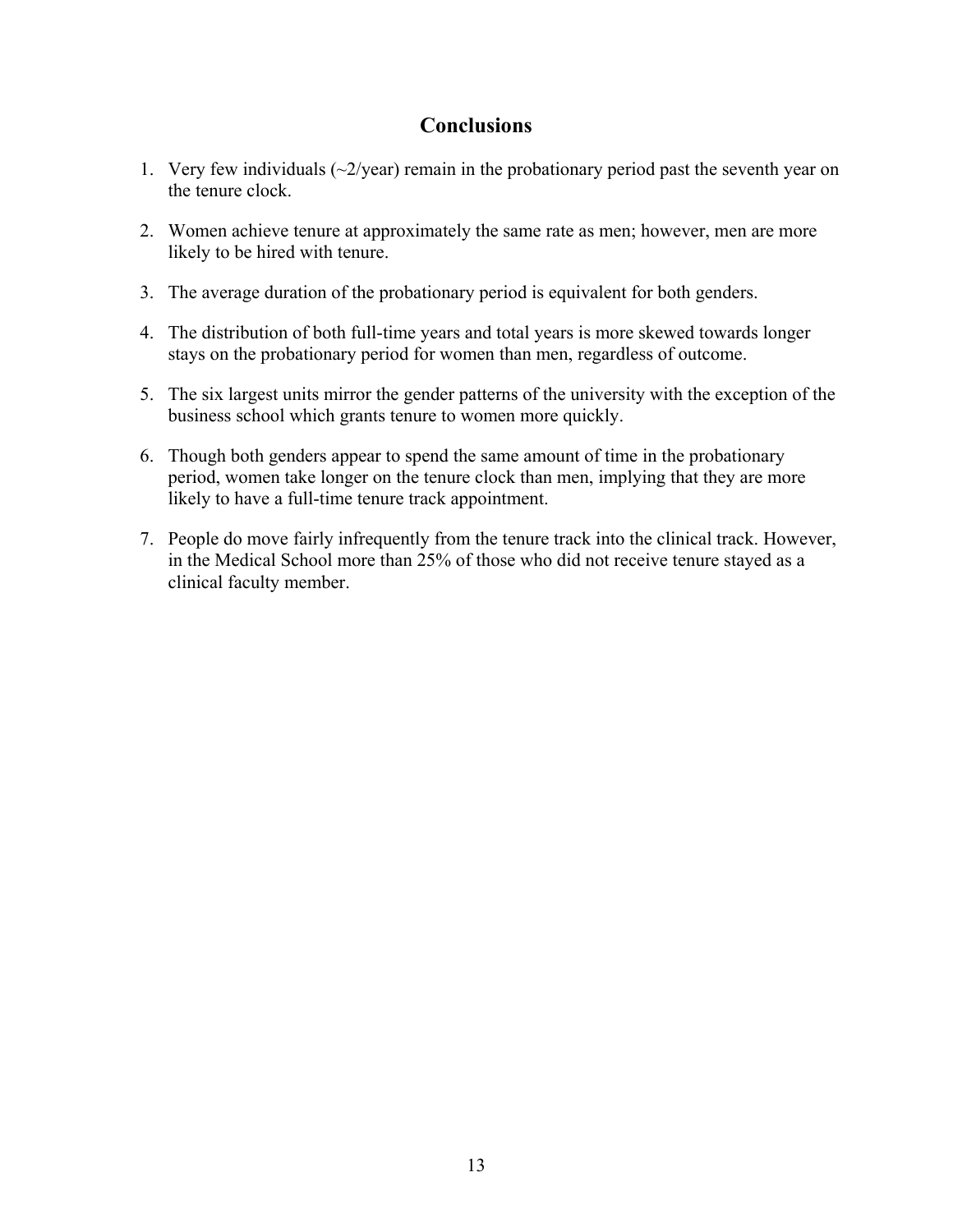## **Conclusions**

- 1. Very few individuals  $\left(\frac{2}{\gamma ear}\right)$  remain in the probationary period past the seventh year on the tenure clock.
- 2. Women achieve tenure at approximately the same rate as men; however, men are more likely to be hired with tenure.
- 3. The average duration of the probationary period is equivalent for both genders.
- 4. The distribution of both full-time years and total years is more skewed towards longer stays on the probationary period for women than men, regardless of outcome.
- 5. The six largest units mirror the gender patterns of the university with the exception of the business school which grants tenure to women more quickly.
- 6. Though both genders appear to spend the same amount of time in the probationary period, women take longer on the tenure clock than men, implying that they are more likely to have a full-time tenure track appointment.
- 7. People do move fairly infrequently from the tenure track into the clinical track. However, in the Medical School more than 25% of those who did not receive tenure stayed as a clinical faculty member.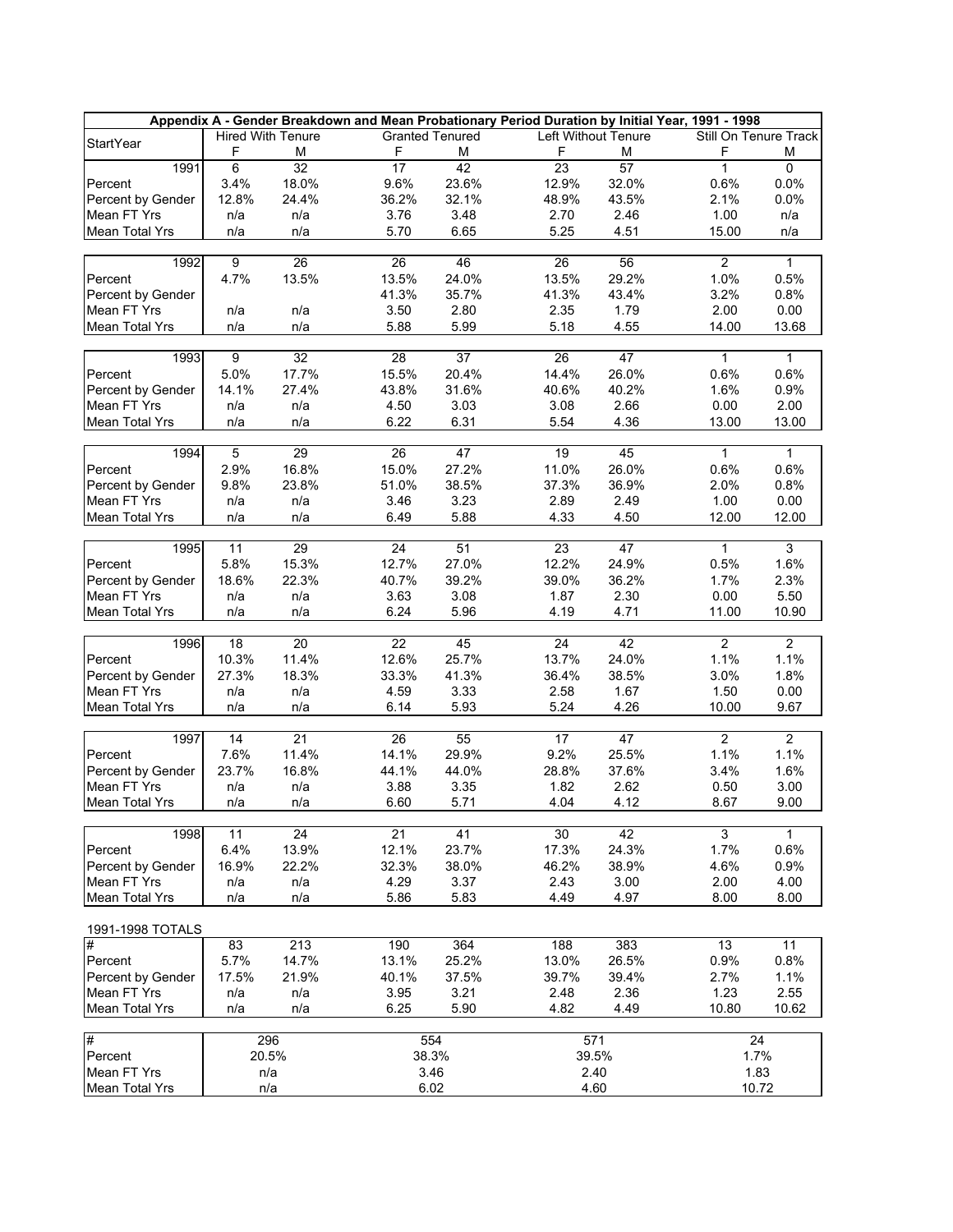| Appendix A - Gender Breakdown and Mean Probationary Period Duration by Initial Year, 1991 - 1998 |                |                          |                        |       |                 |                     |                       |                 |  |  |  |
|--------------------------------------------------------------------------------------------------|----------------|--------------------------|------------------------|-------|-----------------|---------------------|-----------------------|-----------------|--|--|--|
| <b>StartYear</b>                                                                                 |                | <b>Hired With Tenure</b> | <b>Granted Tenured</b> |       |                 | Left Without Tenure | Still On Tenure Track |                 |  |  |  |
|                                                                                                  | F              | M                        | F                      | м     | F               | М                   | F                     | M               |  |  |  |
| 1991                                                                                             | $\overline{6}$ | $\overline{32}$          | $\overline{17}$        | 42    | 23              | 57                  | $\mathbf{1}$          | $\overline{0}$  |  |  |  |
| Percent                                                                                          | 3.4%           | 18.0%                    | 9.6%                   | 23.6% | 12.9%           | 32.0%               | 0.6%                  | 0.0%            |  |  |  |
| Percent by Gender                                                                                | 12.8%          | 24.4%                    | 36.2%                  | 32.1% | 48.9%           | 43.5%               | 2.1%                  | 0.0%            |  |  |  |
| Mean FT Yrs                                                                                      | n/a            | n/a                      | 3.76                   | 3.48  | 2.70            | 2.46                | 1.00                  | n/a             |  |  |  |
| <b>Mean Total Yrs</b>                                                                            | n/a            | n/a                      | 5.70                   | 6.65  | 5.25            | 4.51                | 15.00                 | n/a             |  |  |  |
|                                                                                                  |                |                          |                        |       |                 |                     |                       |                 |  |  |  |
| 1992                                                                                             | 9              | 26                       | 26                     | 46    | 26              | 56                  | $\overline{2}$        | $\overline{1}$  |  |  |  |
| Percent                                                                                          | 4.7%           | 13.5%                    | 13.5%                  | 24.0% | 13.5%           | 29.2%               | 1.0%                  | 0.5%            |  |  |  |
| Percent by Gender                                                                                |                |                          | 41.3%                  | 35.7% | 41.3%           | 43.4%               | 3.2%                  | 0.8%            |  |  |  |
| Mean FT Yrs                                                                                      | n/a            | n/a                      | 3.50                   | 2.80  | 2.35            | 1.79                | 2.00                  | 0.00            |  |  |  |
| <b>Mean Total Yrs</b>                                                                            | n/a            | n/a                      | 5.88                   | 5.99  | 5.18            | 4.55                | 14.00                 | 13.68           |  |  |  |
|                                                                                                  |                |                          |                        |       |                 |                     |                       |                 |  |  |  |
| 1993                                                                                             | $\overline{9}$ | 32                       | 28                     | 37    | $\overline{26}$ | 47                  | $\mathbf{1}$          | $\overline{1}$  |  |  |  |
| Percent                                                                                          | 5.0%           | 17.7%                    | 15.5%                  | 20.4% | 14.4%           | 26.0%               | 0.6%                  | 0.6%            |  |  |  |
| Percent by Gender                                                                                | 14.1%          | 27.4%                    | 43.8%                  | 31.6% | 40.6%           | 40.2%               | 1.6%                  | 0.9%            |  |  |  |
| Mean FT Yrs                                                                                      | n/a            | n/a                      | 4.50                   | 3.03  | 3.08            | 2.66                | 0.00                  | 2.00            |  |  |  |
| Mean Total Yrs                                                                                   | n/a            | n/a                      | 6.22                   | 6.31  | 5.54            | 4.36                | 13.00                 | 13.00           |  |  |  |
|                                                                                                  |                |                          |                        |       |                 |                     |                       |                 |  |  |  |
| 1994                                                                                             | $\overline{5}$ | 29                       | 26                     | 47    | 19              | 45                  | 1                     | $\mathbf{1}$    |  |  |  |
| Percent                                                                                          | 2.9%           | 16.8%                    | 15.0%                  | 27.2% | 11.0%           | 26.0%               | 0.6%                  | 0.6%            |  |  |  |
| Percent by Gender                                                                                | 9.8%           | 23.8%                    | 51.0%                  | 38.5% | 37.3%           | 36.9%               | 2.0%                  | 0.8%            |  |  |  |
| Mean FT Yrs                                                                                      | n/a            | n/a                      | 3.46                   | 3.23  | 2.89            | 2.49                | 1.00                  | 0.00            |  |  |  |
| <b>Mean Total Yrs</b>                                                                            | n/a            | n/a                      | 6.49                   | 5.88  | 4.33            | 4.50                | 12.00                 | 12.00           |  |  |  |
|                                                                                                  |                |                          |                        |       |                 |                     |                       |                 |  |  |  |
| 1995                                                                                             | 11             | 29                       | 24                     | 51    | 23              | 47                  | 1                     | $\overline{3}$  |  |  |  |
| Percent                                                                                          | 5.8%           | 15.3%                    | 12.7%                  | 27.0% | 12.2%           | 24.9%               | 0.5%                  | 1.6%            |  |  |  |
| Percent by Gender                                                                                | 18.6%          | 22.3%                    | 40.7%                  | 39.2% | 39.0%           | 36.2%               | 1.7%                  | 2.3%            |  |  |  |
| Mean FT Yrs                                                                                      | n/a            | n/a                      | 3.63                   | 3.08  | 1.87            | 2.30                | 0.00                  | 5.50            |  |  |  |
| <b>Mean Total Yrs</b>                                                                            | n/a            | n/a                      | 6.24                   | 5.96  | 4.19            | 4.71                | 11.00                 | 10.90           |  |  |  |
|                                                                                                  |                |                          |                        |       |                 |                     |                       |                 |  |  |  |
| 1996                                                                                             | 18             | 20                       | 22                     | 45    | 24              | 42                  | $\overline{2}$        | $\overline{2}$  |  |  |  |
| Percent                                                                                          | 10.3%          | 11.4%                    | 12.6%                  | 25.7% | 13.7%           | 24.0%               | 1.1%                  | 1.1%            |  |  |  |
|                                                                                                  | 27.3%          | 18.3%                    |                        | 41.3% | 36.4%           |                     |                       | 1.8%            |  |  |  |
| Percent by Gender<br>Mean FT Yrs                                                                 |                |                          | 33.3%                  |       |                 | 38.5%               | 3.0%                  |                 |  |  |  |
|                                                                                                  | n/a            | n/a                      | 4.59                   | 3.33  | 2.58            | 1.67                | 1.50                  | 0.00            |  |  |  |
| <b>Mean Total Yrs</b>                                                                            | n/a            | n/a                      | 6.14                   | 5.93  | 5.24            | 4.26                | 10.00                 | 9.67            |  |  |  |
|                                                                                                  |                |                          |                        |       | 17              |                     |                       | $\overline{2}$  |  |  |  |
| 1997                                                                                             | 14             | 21                       | 26                     | 55    |                 | 47                  | $\overline{2}$        |                 |  |  |  |
| Percent                                                                                          | 7.6%           | 11.4%                    | 14.1%                  | 29.9% | 9.2%            | 25.5%               | 1.1%                  | 1.1%            |  |  |  |
| Percent by Gender                                                                                | 23.7%          | 16.8%                    | 44.1%                  | 44.0% | 28.8%           | 37.6%               | 3.4%                  | 1.6%            |  |  |  |
| Mean FT Yrs                                                                                      | n/a            | n/a                      | 3.88                   | 3.35  | 1.82            | 2.62                | 0.50                  | 3.00            |  |  |  |
| <b>Mean Total Yrs</b>                                                                            | n/a            | n/a                      | 6.60                   | 5.71  | 4.04            | 4.12                | 8.67                  | 9.00            |  |  |  |
|                                                                                                  |                | $\overline{24}$          | $\overline{21}$        | 41    | 30              | 42                  | 3                     | $\mathbf{1}$    |  |  |  |
| 1998                                                                                             | 11             |                          |                        |       |                 |                     |                       |                 |  |  |  |
| Percent                                                                                          | 6.4%           | 13.9%                    | 12.1%                  | 23.7% | 17.3%           | 24.3%               | 1.7%                  | 0.6%            |  |  |  |
| Percent by Gender                                                                                | 16.9%          | 22.2%                    | 32.3%                  | 38.0% | 46.2%           | 38.9%               | 4.6%                  | 0.9%            |  |  |  |
| Mean FT Yrs                                                                                      | n/a            | n/a                      | 4.29                   | 3.37  | 2.43            | 3.00                | 2.00                  | 4.00            |  |  |  |
| Mean Total Yrs                                                                                   | n/a            | n/a                      | 5.86                   | 5.83  | 4.49            | 4.97                | 8.00                  | 8.00            |  |  |  |
|                                                                                                  |                |                          |                        |       |                 |                     |                       |                 |  |  |  |
| 1991-1998 TOTALS                                                                                 |                |                          |                        |       |                 |                     |                       |                 |  |  |  |
| #                                                                                                | 83             | 213                      | 190                    | 364   | 188             | 383                 | 13                    | $\overline{11}$ |  |  |  |
| Percent                                                                                          | 5.7%           | 14.7%                    | 13.1%                  | 25.2% | 13.0%           | 26.5%               | 0.9%                  | 0.8%            |  |  |  |
| Percent by Gender                                                                                | 17.5%          | 21.9%                    | 40.1%                  | 37.5% | 39.7%           | 39.4%               | 2.7%                  | 1.1%            |  |  |  |
| Mean FT Yrs                                                                                      | n/a            | n/a                      | 3.95                   | 3.21  | 2.48            | 2.36                | 1.23                  | 2.55            |  |  |  |
| Mean Total Yrs                                                                                   | n/a            | n/a                      | 6.25                   | 5.90  | 4.82            | 4.49                | 10.80                 | 10.62           |  |  |  |
|                                                                                                  |                |                          |                        |       |                 |                     |                       |                 |  |  |  |
| #                                                                                                |                | 296                      | 554                    |       |                 | 571                 | 24                    |                 |  |  |  |
| Percent                                                                                          |                | 20.5%                    | 38.3%                  |       |                 | 39.5%               | 1.7%                  |                 |  |  |  |
| Mean FT Yrs                                                                                      |                | n/a                      | 3.46                   |       |                 | 2.40                | 1.83                  |                 |  |  |  |
| Mean Total Yrs                                                                                   |                | n/a                      | 6.02                   |       |                 | 4.60                | 10.72                 |                 |  |  |  |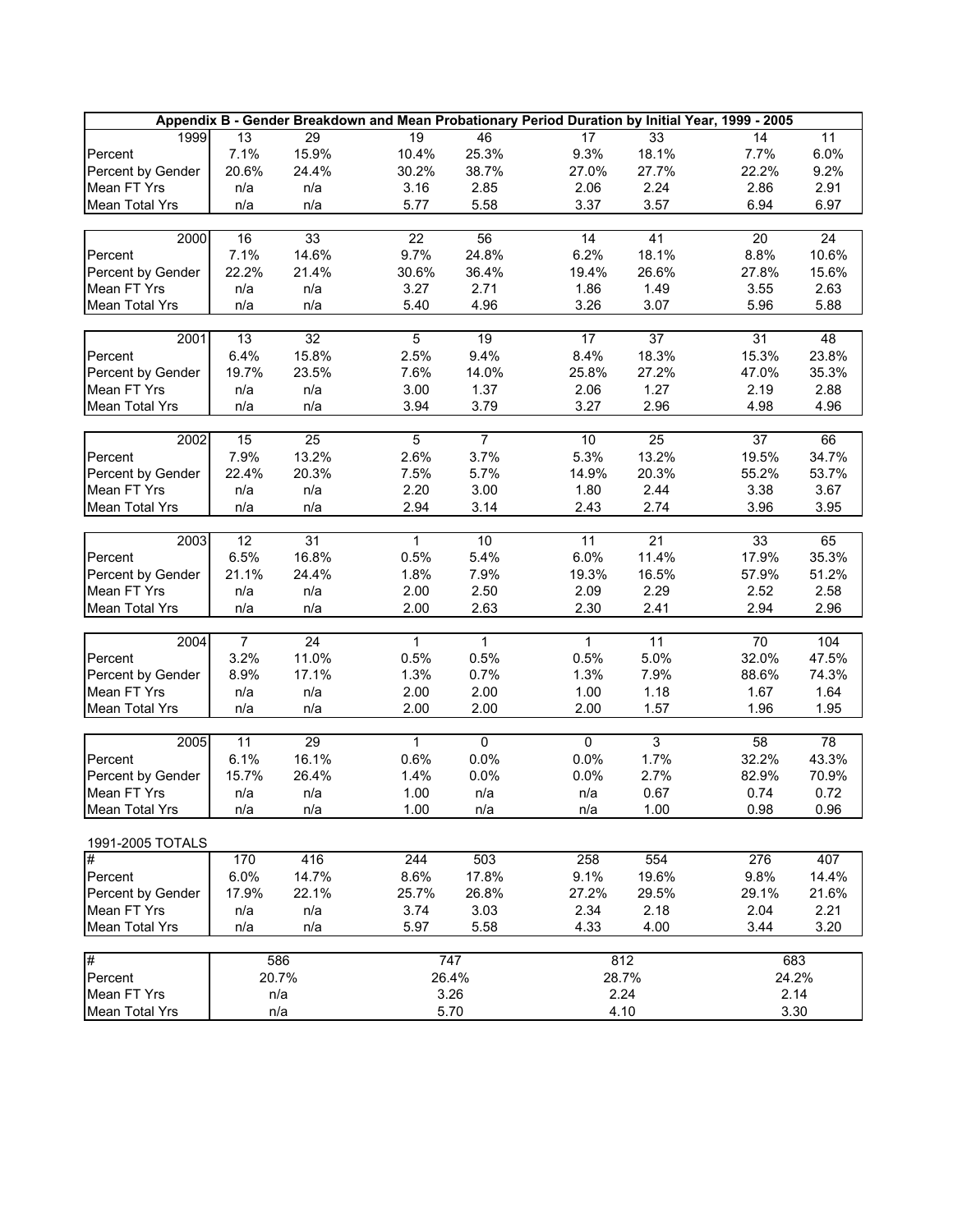|                                  |                 |                 |                  |                |                 |                 | Appendix B - Gender Breakdown and Mean Probationary Period Duration by Initial Year, 1999 - 2005 |                 |
|----------------------------------|-----------------|-----------------|------------------|----------------|-----------------|-----------------|--------------------------------------------------------------------------------------------------|-----------------|
| 1999                             | 13              | 29              | 19               | 46             | 17              | 33              | 14                                                                                               | $\overline{11}$ |
| Percent                          | 7.1%            | 15.9%           | 10.4%            | 25.3%          | 9.3%            | 18.1%           | 7.7%                                                                                             | 6.0%            |
| Percent by Gender                | 20.6%           | 24.4%           | 30.2%            | 38.7%          | 27.0%           | 27.7%           | 22.2%                                                                                            | 9.2%            |
| Mean FT Yrs                      | n/a             | n/a             | 3.16             | 2.85           | 2.06            | 2.24            | 2.86                                                                                             | 2.91            |
| Mean Total Yrs                   | n/a             | n/a             | 5.77             | 5.58           | 3.37            | 3.57            | 6.94                                                                                             | 6.97            |
|                                  |                 |                 |                  |                |                 |                 |                                                                                                  |                 |
| 2000                             | $\overline{16}$ | 33              | $\overline{22}$  | 56             | $\overline{14}$ | 41              | 20                                                                                               | $\overline{24}$ |
| Percent                          | 7.1%            | 14.6%           | 9.7%             | 24.8%          | 6.2%            | 18.1%           | 8.8%                                                                                             | 10.6%           |
| Percent by Gender                | 22.2%           | 21.4%           | 30.6%            | 36.4%          | 19.4%           | 26.6%           | 27.8%                                                                                            | 15.6%           |
| Mean FT Yrs                      | n/a             | n/a             | 3.27             | 2.71           | 1.86            | 1.49            | 3.55                                                                                             | 2.63            |
| <b>Mean Total Yrs</b>            | n/a             | n/a             | 5.40             | 4.96           | 3.26            | 3.07            | 5.96                                                                                             | 5.88            |
|                                  |                 |                 |                  |                |                 |                 |                                                                                                  |                 |
| 2001                             | $\overline{13}$ | 32              | $\overline{5}$   | 19             | 17              | 37              | 31                                                                                               | 48              |
| Percent                          | 6.4%            | 15.8%           | 2.5%             | 9.4%           | 8.4%            | 18.3%           | 15.3%                                                                                            | 23.8%           |
| Percent by Gender                | 19.7%           | 23.5%           | 7.6%             | 14.0%          | 25.8%           | 27.2%           | 47.0%                                                                                            | 35.3%           |
| Mean FT Yrs                      | n/a             | n/a             | 3.00             | 1.37           | 2.06            | 1.27            | 2.19                                                                                             | 2.88            |
| <b>Mean Total Yrs</b>            | n/a             | n/a             | 3.94             | 3.79           | 3.27            | 2.96            | 4.98                                                                                             | 4.96            |
|                                  |                 |                 |                  |                |                 |                 |                                                                                                  |                 |
| 2002                             | $\overline{15}$ | 25              | $\overline{5}$   | $\overline{7}$ | 10              | 25              | 37                                                                                               | 66              |
| Percent                          | 7.9%            | 13.2%           | 2.6%             | 3.7%           | 5.3%            | 13.2%           | 19.5%                                                                                            | 34.7%           |
| Percent by Gender                | 22.4%           | 20.3%           | 7.5%             | 5.7%           | 14.9%           | 20.3%           | 55.2%                                                                                            | 53.7%           |
| Mean FT Yrs                      | n/a             | n/a             | 2.20             | 3.00           | 1.80            | 2.44            | 3.38                                                                                             | 3.67            |
| <b>Mean Total Yrs</b>            | n/a             | n/a             | 2.94             | 3.14           | 2.43            | 2.74            | 3.96                                                                                             | 3.95            |
|                                  |                 |                 |                  |                |                 |                 |                                                                                                  |                 |
| 2003                             | 12              | 31              | $\mathbf{1}$     | 10             | 11              | $\overline{21}$ | 33                                                                                               | 65              |
| Percent                          | 6.5%            | 16.8%           | 0.5%             | 5.4%           | 6.0%            | 11.4%           | 17.9%                                                                                            | 35.3%           |
| Percent by Gender                | 21.1%           | 24.4%           | 1.8%             | 7.9%           | 19.3%           | 16.5%           | 57.9%                                                                                            | 51.2%           |
| Mean FT Yrs                      | n/a             | n/a             | 2.00             | 2.50           | 2.09            | 2.29            | 2.52                                                                                             | 2.58            |
| <b>Mean Total Yrs</b>            | n/a             | n/a             | 2.00             | 2.63           | 2.30            | 2.41            | 2.94                                                                                             | 2.96            |
|                                  |                 | $\overline{24}$ | $\mathbf{1}$     | 1              | $\mathbf{1}$    | $\overline{11}$ | $\overline{70}$                                                                                  | 104             |
| 2004                             | 7               |                 |                  |                |                 |                 |                                                                                                  |                 |
| Percent                          | 3.2%            | 11.0%           | 0.5%             | 0.5%           | 0.5%            | 5.0%            | 32.0%                                                                                            | 47.5%           |
| Percent by Gender                | 8.9%            | 17.1%           | 1.3%             | 0.7%           | 1.3%            | 7.9%            | 88.6%                                                                                            | 74.3%           |
| Mean FT Yrs                      | n/a             | n/a             | 2.00             | 2.00           | 1.00            | 1.18            | 1.67                                                                                             | 1.64            |
| <b>Mean Total Yrs</b>            | n/a             | n/a             | 2.00             | 2.00           | 2.00            | 1.57            | 1.96                                                                                             | 1.95            |
| 2005                             | $\overline{11}$ | 29              | $\mathbf{1}$     | $\mathsf{O}$   | $\overline{0}$  | $\overline{3}$  | 58                                                                                               | $\overline{78}$ |
| Percent                          | 6.1%            | 16.1%           | 0.6%             | 0.0%           | 0.0%            | 1.7%            | 32.2%                                                                                            | 43.3%           |
|                                  | 15.7%           | 26.4%           | 1.4%             | 0.0%           | 0.0%            | 2.7%            | 82.9%                                                                                            | 70.9%           |
| Percent by Gender<br>Mean FT Yrs | n/a             | n/a             | 1.00             | n/a            | n/a             | 0.67            | 0.74                                                                                             | 0.72            |
|                                  |                 |                 |                  |                |                 |                 |                                                                                                  |                 |
| Mean Total Yrs                   | n/a             | n/a             | 1.00             | n/a            | n/a             | 1.00            | 0.98                                                                                             | 0.96            |
| 1991-2005 TOTALS                 |                 |                 |                  |                |                 |                 |                                                                                                  |                 |
| #                                | 170             | 416             | $\overline{244}$ | 503            | 258             | 554             | $\overline{276}$                                                                                 | 407             |
| Percent                          | 6.0%            | 14.7%           | 8.6%             | 17.8%          | 9.1%            | 19.6%           | 9.8%                                                                                             | 14.4%           |
| Percent by Gender                | 17.9%           | 22.1%           | 25.7%            | 26.8%          | 27.2%           | 29.5%           | 29.1%                                                                                            | 21.6%           |
| Mean FT Yrs                      | n/a             | n/a             | 3.74             | 3.03           | 2.34            | 2.18            | 2.04                                                                                             | 2.21            |
| Mean Total Yrs                   | n/a             | n/a             | 5.97             | 5.58           | 4.33            | 4.00            | 3.44                                                                                             | 3.20            |
|                                  |                 |                 |                  |                |                 |                 |                                                                                                  |                 |
| #                                |                 | 586             |                  | 747            |                 | 812             | 683                                                                                              |                 |
| Percent                          |                 | 20.7%           |                  | 26.4%          |                 | 28.7%           | 24.2%                                                                                            |                 |
| Mean FT Yrs                      |                 | n/a             |                  | 3.26           |                 | 2.24            | 2.14                                                                                             |                 |
| <b>Mean Total Yrs</b>            |                 | n/a             |                  | 5.70           |                 | 4.10            | 3.30                                                                                             |                 |